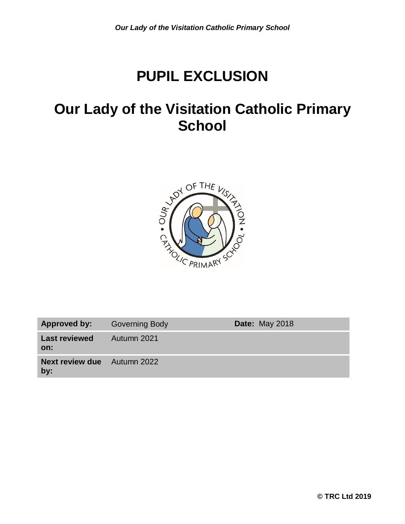# **PUPIL EXCLUSION**

## **Our Lady of the Visitation Catholic Primary School**



| Approved by:                              | <b>Governing Body</b> | <b>Date: May 2018</b> |
|-------------------------------------------|-----------------------|-----------------------|
| <b>Last reviewed</b><br>on:               | Autumn 2021           |                       |
| <b>Next review due</b> Autumn 2022<br>by: |                       |                       |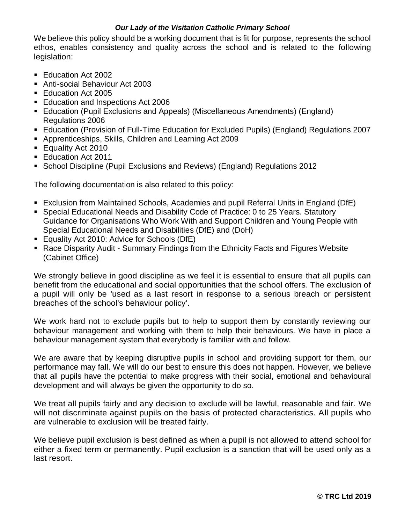We believe this policy should be a working document that is fit for purpose, represents the school ethos, enables consistency and quality across the school and is related to the following legislation:

- Education Act 2002
- Anti-social Behaviour Act 2003
- Education Act 2005
- Education and Inspections Act 2006
- Education (Pupil Exclusions and Appeals) (Miscellaneous Amendments) (England) Regulations 2006
- Education (Provision of Full-Time Education for Excluded Pupils) (England) Regulations 2007
- Apprenticeships, Skills, Children and Learning Act 2009
- **Equality Act 2010**
- **Education Act 2011**
- School Discipline (Pupil Exclusions and Reviews) (England) Regulations 2012

The following documentation is also related to this policy:

- Exclusion from Maintained Schools, Academies and pupil Referral Units in England (DfE)
- Special Educational Needs and Disability Code of Practice: 0 to 25 Years. Statutory Guidance for Organisations Who Work With and Support Children and Young People with Special Educational Needs and Disabilities (DfE) and (DoH)
- **Equality Act 2010: Advice for Schools (DfE)**
- Race Disparity Audit Summary Findings from the Ethnicity Facts and Figures Website (Cabinet Office)

We strongly believe in good discipline as we feel it is essential to ensure that all pupils can benefit from the educational and social opportunities that the school offers. The exclusion of a pupil will only be 'used as a last resort in response to a serious breach or persistent breaches of the school's behaviour policy'.

We work hard not to exclude pupils but to help to support them by constantly reviewing our behaviour management and working with them to help their behaviours. We have in place a behaviour management system that everybody is familiar with and follow.

We are aware that by keeping disruptive pupils in school and providing support for them, our performance may fall. We will do our best to ensure this does not happen. However, we believe that all pupils have the potential to make progress with their social, emotional and behavioural development and will always be given the opportunity to do so.

We treat all pupils fairly and any decision to exclude will be lawful, reasonable and fair. We will not discriminate against pupils on the basis of protected characteristics. All pupils who are vulnerable to exclusion will be treated fairly.

We believe pupil exclusion is best defined as when a pupil is not allowed to attend school for either a fixed term or permanently. Pupil exclusion is a sanction that will be used only as a last resort.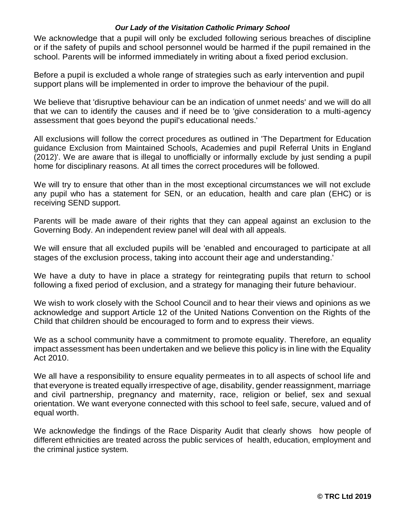We acknowledge that a pupil will only be excluded following serious breaches of discipline or if the safety of pupils and school personnel would be harmed if the pupil remained in the school. Parents will be informed immediately in writing about a fixed period exclusion.

Before a pupil is excluded a whole range of strategies such as early intervention and pupil support plans will be implemented in order to improve the behaviour of the pupil.

We believe that 'disruptive behaviour can be an indication of unmet needs' and we will do all that we can to identify the causes and if need be to 'give consideration to a multi-agency assessment that goes beyond the pupil's educational needs.'

All exclusions will follow the correct procedures as outlined in 'The Department for Education guidance Exclusion from Maintained Schools, Academies and pupil Referral Units in England (2012)'. We are aware that is illegal to unofficially or informally exclude by just sending a pupil home for disciplinary reasons. At all times the correct procedures will be followed.

We will try to ensure that other than in the most exceptional circumstances we will not exclude any pupil who has a statement for SEN, or an education, health and care plan (EHC) or is receiving SEND support.

Parents will be made aware of their rights that they can appeal against an exclusion to the Governing Body. An independent review panel will deal with all appeals.

We will ensure that all excluded pupils will be 'enabled and encouraged to participate at all stages of the exclusion process, taking into account their age and understanding.'

We have a duty to have in place a strategy for reintegrating pupils that return to school following a fixed period of exclusion, and a strategy for managing their future behaviour.

We wish to work closely with the School Council and to hear their views and opinions as we acknowledge and support Article 12 of the United Nations Convention on the Rights of the Child that children should be encouraged to form and to express their views.

We as a school community have a commitment to promote equality. Therefore, an equality impact assessment has been undertaken and we believe this policy is in line with the Equality Act 2010.

We all have a responsibility to ensure equality permeates in to all aspects of school life and that everyone is treated equally irrespective of age, disability, gender reassignment, marriage and civil partnership, pregnancy and maternity, race, religion or belief, sex and sexual orientation. We want everyone connected with this school to feel safe, secure, valued and of equal worth.

We acknowledge the findings of the Race Disparity Audit that clearly shows how people of different ethnicities are treated across the public services of health, education, employment and the criminal justice system.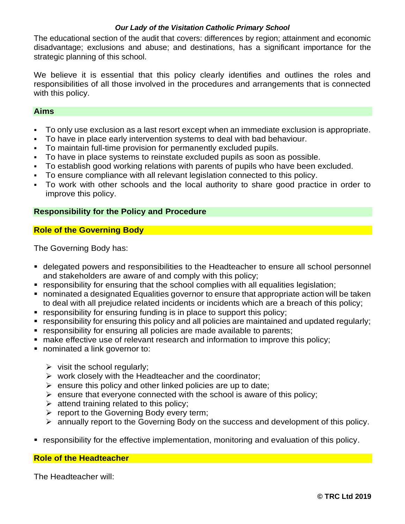The educational section of the audit that covers: differences by region; attainment and economic disadvantage; exclusions and abuse; and destinations, has a significant importance for the strategic planning of this school.

We believe it is essential that this policy clearly identifies and outlines the roles and responsibilities of all those involved in the procedures and arrangements that is connected with this policy.

## **Aims**

- To only use exclusion as a last resort except when an immediate exclusion is appropriate.
- To have in place early intervention systems to deal with bad behaviour.
- To maintain full-time provision for permanently excluded pupils.
- To have in place systems to reinstate excluded pupils as soon as possible.
- To establish good working relations with parents of pupils who have been excluded.
- To ensure compliance with all relevant legislation connected to this policy.
- To work with other schools and the local authority to share good practice in order to improve this policy.

## **Responsibility for the Policy and Procedure**

## **Role of the Governing Body**

The Governing Body has:

- delegated powers and responsibilities to the Headteacher to ensure all school personnel and stakeholders are aware of and comply with this policy;
- responsibility for ensuring that the school complies with all equalities legislation;
- nominated a designated Equalities governor to ensure that appropriate action will be taken to deal with all prejudice related incidents or incidents which are a breach of this policy;
- **responsibility for ensuring funding is in place to support this policy;**
- responsibility for ensuring this policy and all policies are maintained and updated regularly;
- **F** responsibility for ensuring all policies are made available to parents;
- make effective use of relevant research and information to improve this policy;
- nominated a link governor to:
	- $\triangleright$  visit the school regularly;
	- $\triangleright$  work closely with the Headteacher and the coordinator;
	- $\triangleright$  ensure this policy and other linked policies are up to date;
	- $\triangleright$  ensure that everyone connected with the school is aware of this policy;
	- $\triangleright$  attend training related to this policy;
	- $\triangleright$  report to the Governing Body every term;
	- annually report to the Governing Body on the success and development of this policy.
- responsibility for the effective implementation, monitoring and evaluation of this policy.

## **Role of the Headteacher**

The Headteacher will: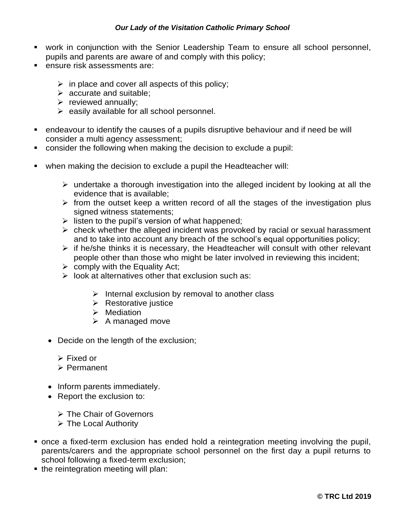- work in conjunction with the Senior Leadership Team to ensure all school personnel, pupils and parents are aware of and comply with this policy;
- **ensure risk assessments are:** 
	- $\triangleright$  in place and cover all aspects of this policy;
	- $\triangleright$  accurate and suitable;
	- $\triangleright$  reviewed annually;
	- $\triangleright$  easily available for all school personnel.
- endeavour to identify the causes of a pupils disruptive behaviour and if need be will consider a multi agency assessment;
- consider the following when making the decision to exclude a pupil:
- when making the decision to exclude a pupil the Headteacher will:
	- $\triangleright$  undertake a thorough investigation into the alleged incident by looking at all the evidence that is available;
	- $\triangleright$  from the outset keep a written record of all the stages of the investigation plus signed witness statements;
	- $\triangleright$  listen to the pupil's version of what happened;
	- $\triangleright$  check whether the alleged incident was provoked by racial or sexual harassment and to take into account any breach of the school's equal opportunities policy;
	- $\triangleright$  if he/she thinks it is necessary, the Headteacher will consult with other relevant people other than those who might be later involved in reviewing this incident;
	- $\triangleright$  comply with the Equality Act;
	- $\triangleright$  look at alternatives other that exclusion such as:
		- $\triangleright$  Internal exclusion by removal to another class
		- $\triangleright$  Restorative justice
		- $\triangleright$  Mediation
		- $\triangleright$  A managed move
	- Decide on the length of the exclusion;
		- Fixed or
		- Permanent
	- Inform parents immediately.
	- Report the exclusion to:
		- The Chair of Governors
		- The Local Authority
- once a fixed-term exclusion has ended hold a reintegration meeting involving the pupil, parents/carers and the appropriate school personnel on the first day a pupil returns to school following a fixed-term exclusion;
- the reintegration meeting will plan: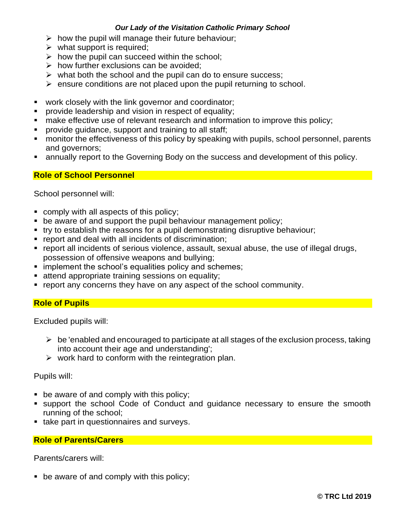- $\triangleright$  how the pupil will manage their future behaviour;
- $\triangleright$  what support is required;
- $\triangleright$  how the pupil can succeed within the school;
- $\triangleright$  how further exclusions can be avoided;
- $\triangleright$  what both the school and the pupil can do to ensure success;
- $\triangleright$  ensure conditions are not placed upon the pupil returning to school.
- **•** work closely with the link governor and coordinator;
- provide leadership and vision in respect of equality;
- make effective use of relevant research and information to improve this policy;
- provide guidance, support and training to all staff;
- **EXECT** monitor the effectiveness of this policy by speaking with pupils, school personnel, parents and governors;
- annually report to the Governing Body on the success and development of this policy.

## **Role of School Personnel**

School personnel will:

- comply with all aspects of this policy;
- **be aware of and support the pupil behaviour management policy;**
- try to establish the reasons for a pupil demonstrating disruptive behaviour;
- report and deal with all incidents of discrimination;
- report all incidents of serious violence, assault, sexual abuse, the use of illegal drugs, possession of offensive weapons and bullying;
- **implement the school's equalities policy and schemes;**
- **attend appropriate training sessions on equality;**
- report any concerns they have on any aspect of the school community.

## **Role of Pupils**

Excluded pupils will:

- $\triangleright$  be 'enabled and encouraged to participate at all stages of the exclusion process, taking into account their age and understanding';
- $\triangleright$  work hard to conform with the reintegration plan.

#### Pupils will:

- be aware of and comply with this policy;
- support the school Code of Conduct and guidance necessary to ensure the smooth running of the school;
- take part in questionnaires and surveys.

## **Role of Parents/Carers**

Parents/carers will:

**•** be aware of and comply with this policy;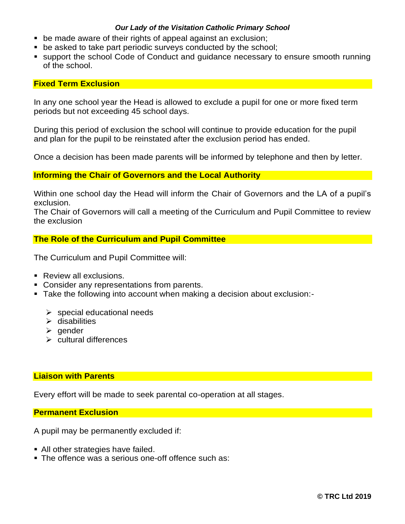- be made aware of their rights of appeal against an exclusion;
- **be asked to take part periodic surveys conducted by the school;**
- support the school Code of Conduct and guidance necessary to ensure smooth running of the school.

## **Fixed Term Exclusion**

In any one school year the Head is allowed to exclude a pupil for one or more fixed term periods but not exceeding 45 school days.

During this period of exclusion the school will continue to provide education for the pupil and plan for the pupil to be reinstated after the exclusion period has ended.

Once a decision has been made parents will be informed by telephone and then by letter.

## **Informing the Chair of Governors and the Local Authority**

Within one school day the Head will inform the Chair of Governors and the LA of a pupil's exclusion.

The Chair of Governors will call a meeting of the Curriculum and Pupil Committee to review the exclusion

## **The Role of the Curriculum and Pupil Committee**

The Curriculum and Pupil Committee will:

- Review all exclusions.
- **Consider any representations from parents.**
- Take the following into account when making a decision about exclusion:-
	- $\triangleright$  special educational needs
	- $\triangleright$  disabilities
	- $\triangleright$  gender
	- $\triangleright$  cultural differences

#### **Liaison with Parents**

Every effort will be made to seek parental co-operation at all stages.

#### **Permanent Exclusion**

A pupil may be permanently excluded if:

- All other strategies have failed.
- **The offence was a serious one-off offence such as:**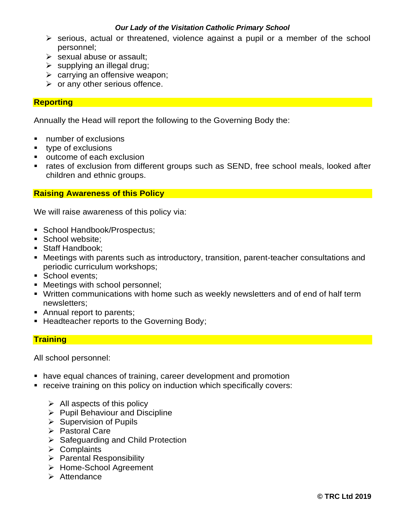- $\triangleright$  serious, actual or threatened, violence against a pupil or a member of the school personnel;
- $\triangleright$  sexual abuse or assault;
- $\triangleright$  supplying an illegal drug;
- $\triangleright$  carrying an offensive weapon;
- $\triangleright$  or any other serious offence.

#### **Reporting**

Annually the Head will report the following to the Governing Body the:

- number of exclusions
- type of exclusions
- **•** outcome of each exclusion
- rates of exclusion from different groups such as SEND, free school meals, looked after children and ethnic groups.

## **Raising Awareness of this Policy**

We will raise awareness of this policy via:

- **School Handbook/Prospectus;**
- School website:
- Staff Handbook:
- Meetings with parents such as introductory, transition, parent-teacher consultations and periodic curriculum workshops;
- School events;
- Meetings with school personnel;
- Written communications with home such as weekly newsletters and of end of half term newsletters;
- Annual report to parents;
- **Headteacher reports to the Governing Body:**

#### **Training**

All school personnel:

- have equal chances of training, career development and promotion
- receive training on this policy on induction which specifically covers:
	- $\triangleright$  All aspects of this policy
	- $\triangleright$  Pupil Behaviour and Discipline
	- $\triangleright$  Supervision of Pupils
	- $\triangleright$  Pastoral Care
	- $\triangleright$  Safeguarding and Child Protection
	- $\triangleright$  Complaints
	- $\triangleright$  Parental Responsibility
	- > Home-School Agreement
	- $\triangleright$  Attendance